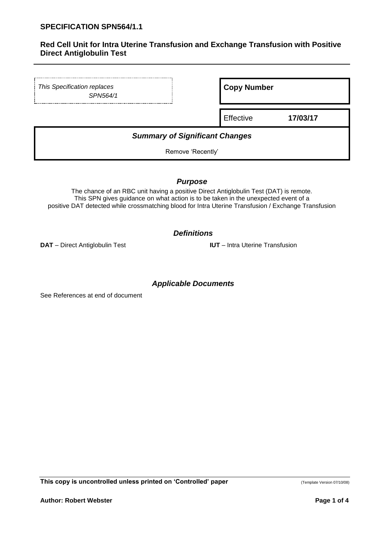# **Red Cell Unit for Intra Uterine Transfusion and Exchange Transfusion with Positive Direct Antiglobulin Test**

| This Specification replaces<br>SPN564/1 | <b>Copy Number</b> |          |
|-----------------------------------------|--------------------|----------|
|                                         | Effective          | 17/03/17 |
| <b>Summary of Significant Changes</b>   |                    |          |

Remove 'Recently'

*Purpose*

The chance of an RBC unit having a positive Direct Antiglobulin Test (DAT) is remote. This SPN gives guidance on what action is to be taken in the unexpected event of a positive DAT detected while crossmatching blood for Intra Uterine Transfusion / Exchange Transfusion

*Definitions*

**DAT** – Direct Antiglobulin Test **IUT** – Intra Uterine Transfusion

# *Applicable Documents*

See References at end of document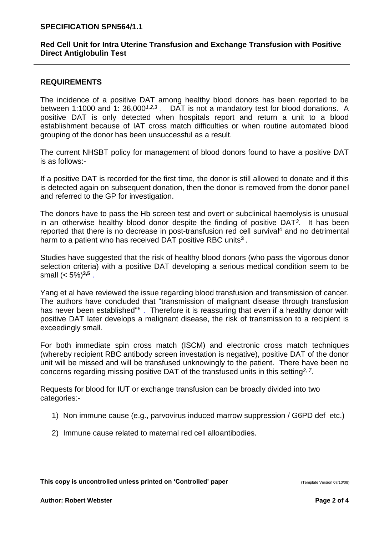#### **SPECIFICATION SPN564/1.1**

### **Red Cell Unit for Intra Uterine Transfusion and Exchange Transfusion with Positive Direct Antiglobulin Test**

# **REQUIREMENTS**

The incidence of a positive DAT among healthy blood donors has been reported to be between 1:1000 and 1: 36,000*1,2,3* . DAT is not a mandatory test for blood donations. A positive DAT is only detected when hospitals report and return a unit to a blood establishment because of IAT cross match difficulties or when routine automated blood grouping of the donor has been unsuccessful as a result.

The current NHSBT policy for management of blood donors found to have a positive DAT is as follows:-

If a positive DAT is recorded for the first time, the donor is still allowed to donate and if this is detected again on subsequent donation, then the donor is removed from the donor panel and referred to the GP for investigation.

The donors have to pass the Hb screen test and overt or subclinical haemolysis is unusual in an otherwise healthy blood donor despite the finding of positive DAT*<sup>3</sup>* . It has been reported that there is no decrease in post-transfusion red cell survival<sup>4</sup> and no detrimental harm to a patient who has received DAT positive RBC units**<sup>3</sup>** .

Studies have suggested that the risk of healthy blood donors (who pass the vigorous donor selection criteria) with a positive DAT developing a serious medical condition seem to be small (< 5%)**3,5** .

Yang et al have reviewed the issue regarding blood transfusion and transmission of cancer. The authors have concluded that "transmission of malignant disease through transfusion has never been established"<sup>6</sup>. Therefore it is reassuring that even if a healthy donor with positive DAT later develops a malignant disease, the risk of transmission to a recipient is exceedingly small.

For both immediate spin cross match (ISCM) and electronic cross match techniques (whereby recipient RBC antibody screen investation is negative), positive DAT of the donor unit will be missed and will be transfused unknowingly to the patient. There have been no concerns regarding missing positive DAT of the transfused units in this setting*2, 7* .

Requests for blood for IUT or exchange transfusion can be broadly divided into two categories:-

- 1) Non immune cause (e.g., parvovirus induced marrow suppression / G6PD def etc.)
- 2) Immune cause related to maternal red cell alloantibodies.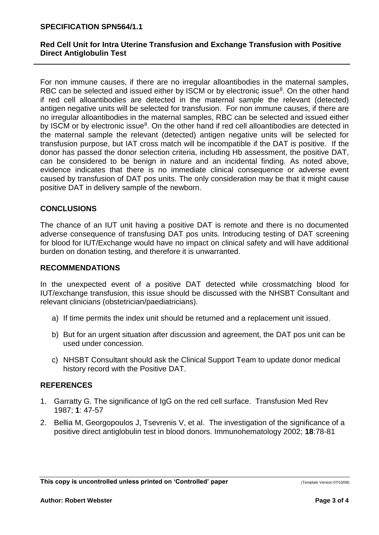#### **SPECIFICATION SPN564/1.1**

# **Red Cell Unit for Intra Uterine Transfusion and Exchange Transfusion with Positive Direct Antiglobulin Test**

For non immune causes, if there are no irregular alloantibodies in the maternal samples, RBC can be selected and issued either by ISCM or by electronic issue<sup>8</sup>. On the other hand if red cell alloantibodies are detected in the maternal sample the relevant (detected) antigen negative units will be selected for transfusion. For non immune causes, if there are no irregular alloantibodies in the maternal samples, RBC can be selected and issued either by ISCM or by electronic issue<sup>8</sup>. On the other hand if red cell alloantibodies are detected in the maternal sample the relevant (detected) antigen negative units will be selected for transfusion purpose, but IAT cross match will be incompatible if the DAT is positive. If the donor has passed the donor selection criteria, including Hb assessment, the positive DAT, can be considered to be benign in nature and an incidental finding. As noted above, evidence indicates that there is no immediate clinical consequence or adverse event caused by transfusion of DAT pos units. The only consideration may be that it might cause positive DAT in delivery sample of the newborn.

# **CONCLUSIONS**

The chance of an IUT unit having a positive DAT is remote and there is no documented adverse consequence of transfusing DAT pos units. Introducing testing of DAT screening for blood for IUT/Exchange would have no impact on clinical safety and will have additional burden on donation testing, and therefore it is unwarranted.

#### **RECOMMENDATIONS**

In the unexpected event of a positive DAT detected while crossmatching blood for IUT/exchange transfusion, this issue should be discussed with the NHSBT Consultant and relevant clinicians (obstetrician/paediatricians).

- a) If time permits the index unit should be returned and a replacement unit issued.
- b) But for an urgent situation after discussion and agreement, the DAT pos unit can be used under concession.
- c) NHSBT Consultant should ask the Clinical Support Team to update donor medical history record with the Positive DAT.

# **REFERENCES**

- 1. Garratty G. The significance of IgG on the red cell surface. Transfusion Med Rev 1987; **1**: 47-57
- 2. Bellia M, Georgopoulos J, Tsevrenis V, et al. The investigation of the significance of a positive direct antiglobulin test in blood donors. Immunohematology 2002; **18**:78-81

**This copy is uncontrolled unless printed on 'Controlled' paper** (Template Version 07/10/08)